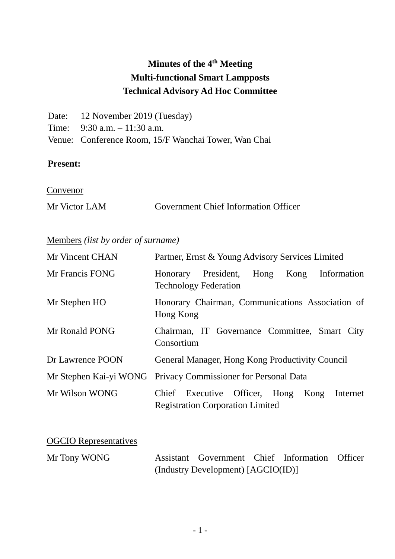# **Minutes of the 4th Meeting Multi-functional Smart Lampposts Technical Advisory Ad Hoc Committee**

| Date: 12 November 2019 (Tuesday)                     |
|------------------------------------------------------|
| Time: $9:30$ a.m. $-11:30$ a.m.                      |
| Venue: Conference Room, 15/F Wanchai Tower, Wan Chai |

#### **Present:**

**Convenor** 

| Mr Victor LAM | <b>Government Chief Information Officer</b> |  |
|---------------|---------------------------------------------|--|
|               |                                             |  |

# Members *(list by order of surname)*

| Mr Vincent CHAN  | Partner, Ernst & Young Advisory Services Limited                                             |  |  |  |
|------------------|----------------------------------------------------------------------------------------------|--|--|--|
| Mr Francis FONG  | President,<br>Hong<br>Information<br>Kong<br><b>Honorary</b><br><b>Technology Federation</b> |  |  |  |
| Mr Stephen HO    | Honorary Chairman, Communications Association of<br>Hong Kong                                |  |  |  |
| Mr Ronald PONG   | Chairman, IT Governance Committee, Smart City<br>Consortium                                  |  |  |  |
| Dr Lawrence POON | General Manager, Hong Kong Productivity Council                                              |  |  |  |
|                  | Mr Stephen Kai-yi WONG Privacy Commissioner for Personal Data                                |  |  |  |
| Mr Wilson WONG   | Chief Executive Officer, Hong<br>Kong<br>Internet<br><b>Registration Corporation Limited</b> |  |  |  |

OGCIO Representatives

| Mr Tony WONG | Assistant Government Chief Information Officer |  |  |
|--------------|------------------------------------------------|--|--|
|              | (Industry Development) [AGCIO(ID)]             |  |  |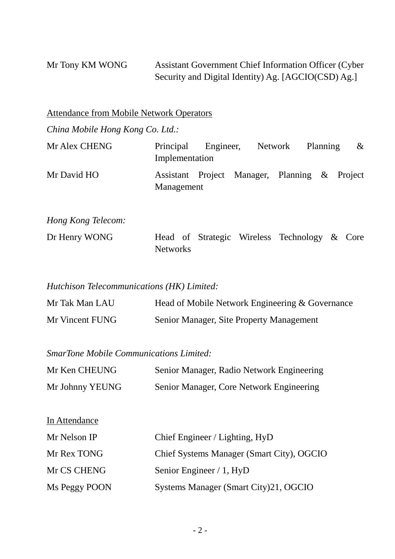Mr Tony KM WONG Assistant Government Chief Information Officer (Cyber Security and Digital Identity) Ag. [AGCIO(CSD) Ag.]

Attendance from Mobile Network Operators

*China Mobile Hong Kong Co. Ltd.:*

| Mr Alex CHENG | Principal      | Engineer, |                                               | Network | Planning | $\&$ |
|---------------|----------------|-----------|-----------------------------------------------|---------|----------|------|
|               | Implementation |           |                                               |         |          |      |
| Mr David HO   | Management     |           | Assistant Project Manager, Planning & Project |         |          |      |

*Hong Kong Telecom:*

In Attendance

| Dr Henry WONG |          |  | Head of Strategic Wireless Technology & Core |  |
|---------------|----------|--|----------------------------------------------|--|
|               | Networks |  |                                              |  |

*Hutchison Telecommunications (HK) Limited:*

| Mr Tak Man LAU  | Head of Mobile Network Engineering & Governance |
|-----------------|-------------------------------------------------|
| Mr Vincent FUNG | Senior Manager, Site Property Management        |

*SmarTone Mobile Communications Limited:*

| Mr Ken CHEUNG   | Senior Manager, Radio Network Engineering |
|-----------------|-------------------------------------------|
| Mr Johnny YEUNG | Senior Manager, Core Network Engineering  |

| 1117 Rudhudho |                                           |
|---------------|-------------------------------------------|
| Mr Nelson IP  | Chief Engineer / Lighting, HyD            |
| Mr Rex TONG   | Chief Systems Manager (Smart City), OGCIO |
| Mr CS CHENG   | Senior Engineer / 1, HyD                  |
| Ms Peggy POON | Systems Manager (Smart City)21, OGCIO     |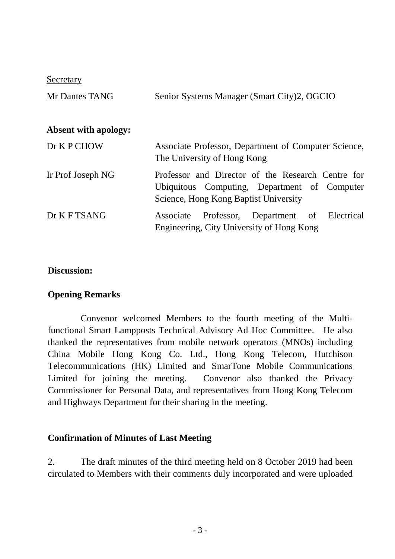**Secretary** 

| Mr Dantes TANG              | Senior Systems Manager (Smart City)2, OGCIO                                                                                                |
|-----------------------------|--------------------------------------------------------------------------------------------------------------------------------------------|
| <b>Absent with apology:</b> |                                                                                                                                            |
| Dr K P CHOW                 | Associate Professor, Department of Computer Science,<br>The University of Hong Kong                                                        |
| Ir Prof Joseph NG           | Professor and Director of the Research Centre for<br>Ubiquitous Computing, Department of Computer<br>Science, Hong Kong Baptist University |
| Dr K F TSANG                | Associate Professor, Department of Electrical<br>Engineering, City University of Hong Kong                                                 |

#### **Discussion:**

#### **Opening Remarks**

Convenor welcomed Members to the fourth meeting of the Multifunctional Smart Lampposts Technical Advisory Ad Hoc Committee. He also thanked the representatives from mobile network operators (MNOs) including China Mobile Hong Kong Co. Ltd., Hong Kong Telecom, Hutchison Telecommunications (HK) Limited and SmarTone Mobile Communications Limited for joining the meeting. Convenor also thanked the Privacy Commissioner for Personal Data, and representatives from Hong Kong Telecom and Highways Department for their sharing in the meeting.

#### **Confirmation of Minutes of Last Meeting**

2. The draft minutes of the third meeting held on 8 October 2019 had been circulated to Members with their comments duly incorporated and were uploaded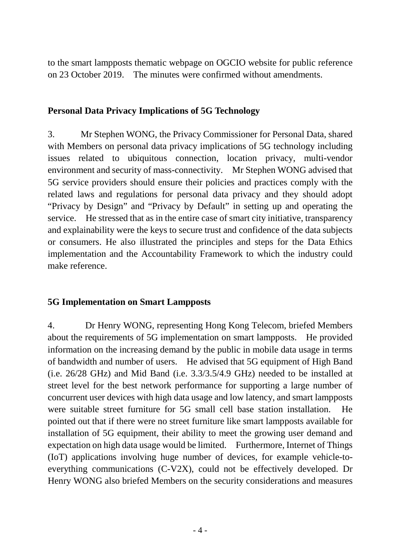to the smart lampposts thematic webpage on OGCIO website for public reference on 23 October 2019. The minutes were confirmed without amendments.

#### **Personal Data Privacy Implications of 5G Technology**

3. Mr Stephen WONG, the Privacy Commissioner for Personal Data, shared with Members on personal data privacy implications of 5G technology including issues related to ubiquitous connection, location privacy, multi-vendor environment and security of mass-connectivity. Mr Stephen WONG advised that 5G service providers should ensure their policies and practices comply with the related laws and regulations for personal data privacy and they should adopt "Privacy by Design" and "Privacy by Default" in setting up and operating the service. He stressed that as in the entire case of smart city initiative, transparency and explainability were the keys to secure trust and confidence of the data subjects or consumers. He also illustrated the principles and steps for the Data Ethics implementation and the Accountability Framework to which the industry could make reference.

## **5G Implementation on Smart Lampposts**

4. Dr Henry WONG, representing Hong Kong Telecom, briefed Members about the requirements of 5G implementation on smart lampposts. He provided information on the increasing demand by the public in mobile data usage in terms of bandwidth and number of users. He advised that 5G equipment of High Band (i.e. 26/28 GHz) and Mid Band (i.e. 3.3/3.5/4.9 GHz) needed to be installed at street level for the best network performance for supporting a large number of concurrent user devices with high data usage and low latency, and smart lampposts were suitable street furniture for 5G small cell base station installation. He pointed out that if there were no street furniture like smart lampposts available for installation of 5G equipment, their ability to meet the growing user demand and expectation on high data usage would be limited. Furthermore, Internet of Things (IoT) applications involving huge number of devices, for example vehicle-toeverything communications (C-V2X), could not be effectively developed. Dr Henry WONG also briefed Members on the security considerations and measures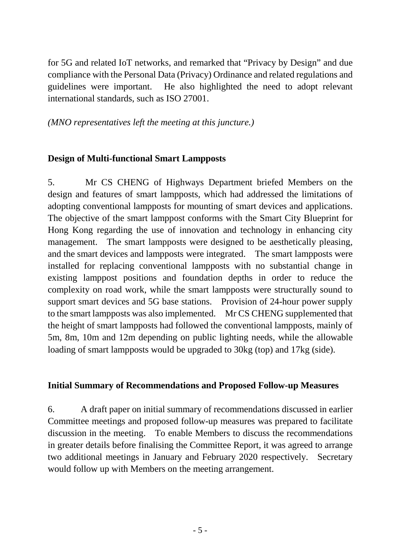for 5G and related IoT networks, and remarked that "Privacy by Design" and due compliance with the Personal Data (Privacy) Ordinance and related regulations and guidelines were important. He also highlighted the need to adopt relevant international standards, such as ISO 27001.

*(MNO representatives left the meeting at this juncture.)*

### **Design of Multi-functional Smart Lampposts**

5. Mr CS CHENG of Highways Department briefed Members on the design and features of smart lampposts, which had addressed the limitations of adopting conventional lampposts for mounting of smart devices and applications. The objective of the smart lamppost conforms with the Smart City Blueprint for Hong Kong regarding the use of innovation and technology in enhancing city management. The smart lampposts were designed to be aesthetically pleasing, and the smart devices and lampposts were integrated. The smart lampposts were installed for replacing conventional lampposts with no substantial change in existing lamppost positions and foundation depths in order to reduce the complexity on road work, while the smart lampposts were structurally sound to support smart devices and 5G base stations. Provision of 24-hour power supply to the smart lampposts was also implemented. Mr CS CHENG supplemented that the height of smart lampposts had followed the conventional lampposts, mainly of 5m, 8m, 10m and 12m depending on public lighting needs, while the allowable loading of smart lampposts would be upgraded to 30kg (top) and 17kg (side).

### **Initial Summary of Recommendations and Proposed Follow-up Measures**

6. A draft paper on initial summary of recommendations discussed in earlier Committee meetings and proposed follow-up measures was prepared to facilitate discussion in the meeting. To enable Members to discuss the recommendations in greater details before finalising the Committee Report, it was agreed to arrange two additional meetings in January and February 2020 respectively. Secretary would follow up with Members on the meeting arrangement.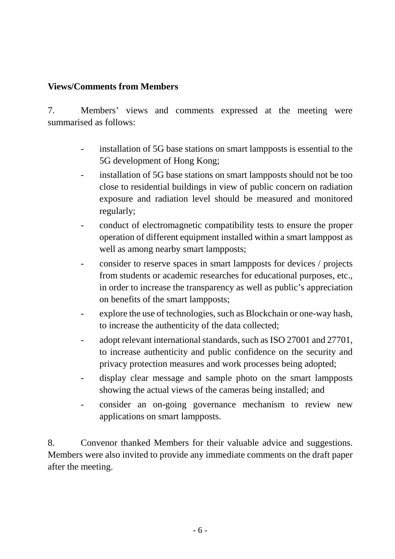### **Views/Comments from Members**

7. Members' views and comments expressed at the meeting were summarised as follows:

- installation of 5G base stations on smart lampposts is essential to the 5G development of Hong Kong;
- installation of 5G base stations on smart lampposts should not be too close to residential buildings in view of public concern on radiation exposure and radiation level should be measured and monitored regularly;
- conduct of electromagnetic compatibility tests to ensure the proper operation of different equipment installed within a smart lamppost as well as among nearby smart lampposts;
- consider to reserve spaces in smart lampposts for devices / projects from students or academic researches for educational purposes, etc., in order to increase the transparency as well as public's appreciation on benefits of the smart lampposts;
- explore the use of technologies, such as Blockchain or one-way hash, to increase the authenticity of the data collected;
- adopt relevant international standards, such as ISO 27001 and 27701, to increase authenticity and public confidence on the security and privacy protection measures and work processes being adopted;
- display clear message and sample photo on the smart lampposts showing the actual views of the cameras being installed; and
- consider an on-going governance mechanism to review new applications on smart lampposts.

8. Convenor thanked Members for their valuable advice and suggestions. Members were also invited to provide any immediate comments on the draft paper after the meeting.